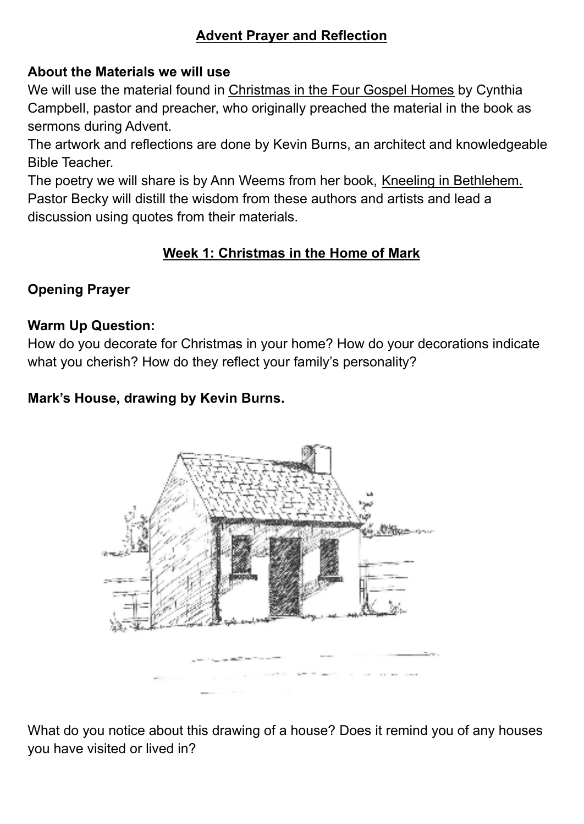## **Advent Prayer and Reflection**

#### **About the Materials we will use**

We will use the material found in Christmas in the Four Gospel Homes by Cynthia Campbell, pastor and preacher, who originally preached the material in the book as sermons during Advent.

The artwork and reflections are done by Kevin Burns, an architect and knowledgeable Bible Teacher.

The poetry we will share is by Ann Weems from her book, Kneeling in Bethlehem. Pastor Becky will distill the wisdom from these authors and artists and lead a discussion using quotes from their materials.

# **Week 1: Christmas in the Home of Mark**

## **Opening Prayer**

#### **Warm Up Question:**

How do you decorate for Christmas in your home? How do your decorations indicate what you cherish? How do they reflect your family's personality?

#### **Mark's House, drawing by Kevin Burns.**



What do you notice about this drawing of a house? Does it remind you of any houses you have visited or lived in?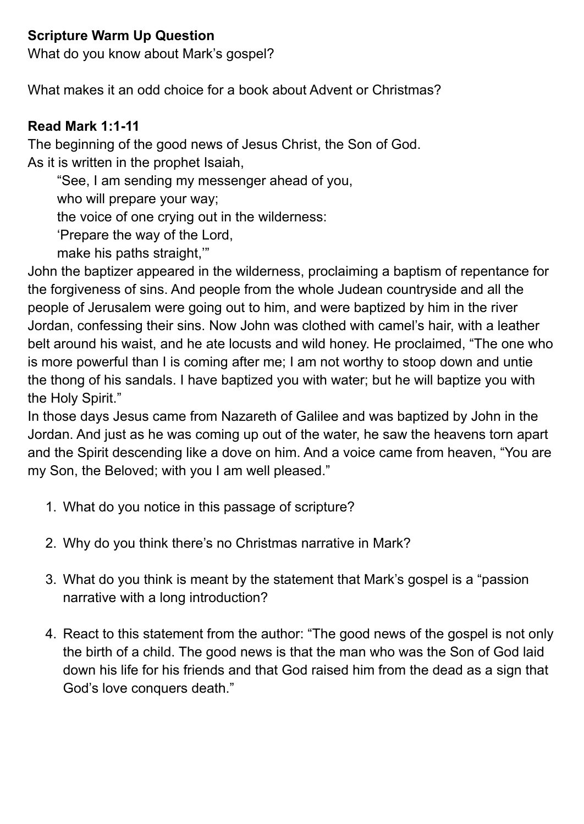### **Scripture Warm Up Question**

What do you know about Mark's gospel?

What makes it an odd choice for a book about Advent or Christmas?

#### **Read Mark 1:1-11**

The beginning of the good news of Jesus Christ, the Son of God. As it is written in the prophet Isaiah,

"See, I am sending my messenger ahead of you,

who will prepare your way;

the voice of one crying out in the wilderness:

'Prepare the way of the Lord,

make his paths straight,'"

John the baptizer appeared in the wilderness, proclaiming a baptism of repentance for the forgiveness of sins. And people from the whole Judean countryside and all the people of Jerusalem were going out to him, and were baptized by him in the river Jordan, confessing their sins. Now John was clothed with camel's hair, with a leather belt around his waist, and he ate locusts and wild honey. He proclaimed, "The one who is more powerful than I is coming after me; I am not worthy to stoop down and untie the thong of his sandals. I have baptized you with water; but he will baptize you with the Holy Spirit."

In those days Jesus came from Nazareth of Galilee and was baptized by John in the Jordan. And just as he was coming up out of the water, he saw the heavens torn apart and the Spirit descending like a dove on him. And a voice came from heaven, "You are my Son, the Beloved; with you I am well pleased."

- 1. What do you notice in this passage of scripture?
- 2. Why do you think there's no Christmas narrative in Mark?
- 3. What do you think is meant by the statement that Mark's gospel is a "passion narrative with a long introduction?
- 4. React to this statement from the author: "The good news of the gospel is not only the birth of a child. The good news is that the man who was the Son of God laid down his life for his friends and that God raised him from the dead as a sign that God's love conquers death."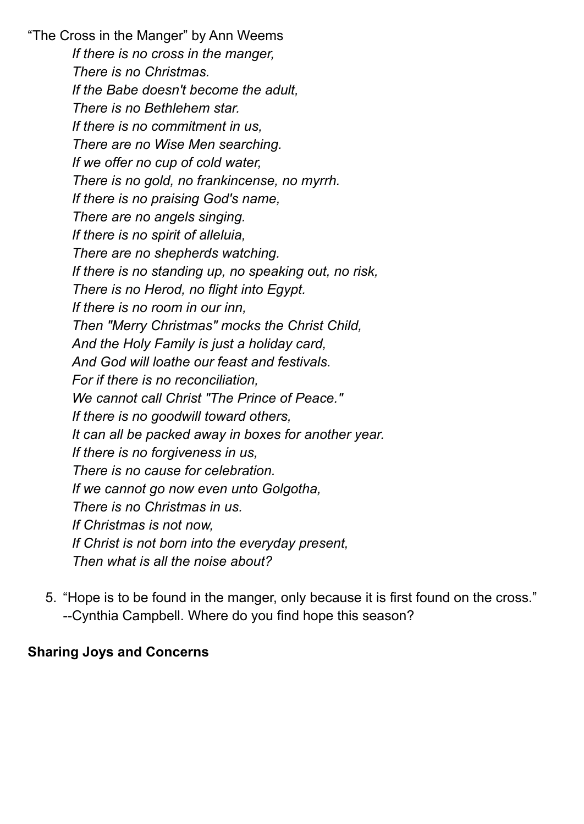"The Cross in the Manger" by Ann Weems *If there is no cross in the manger, There is no Christmas. If the Babe doesn't become the adult, There is no Bethlehem star. If there is no commitment in us, There are no Wise Men searching. If we offer no cup of cold water, There is no gold, no frankincense, no myrrh. If there is no praising God's name, There are no angels singing. If there is no spirit of alleluia, There are no shepherds watching. If there is no standing up, no speaking out, no risk, There is no Herod, no flight into Egypt. If there is no room in our inn, Then "Merry Christmas" mocks the Christ Child, And the Holy Family is just a holiday card, And God will loathe our feast and festivals. For if there is no reconciliation, We cannot call Christ "The Prince of Peace." If there is no goodwill toward others, It can all be packed away in boxes for another year. If there is no forgiveness in us, There is no cause for celebration. If we cannot go now even unto Golgotha, There is no Christmas in us. If Christmas is not now, If Christ is not born into the everyday present, Then what is all the noise about?*

5. "Hope is to be found in the manger, only because it is first found on the cross." --Cynthia Campbell. Where do you find hope this season?

#### **Sharing Joys and Concerns**